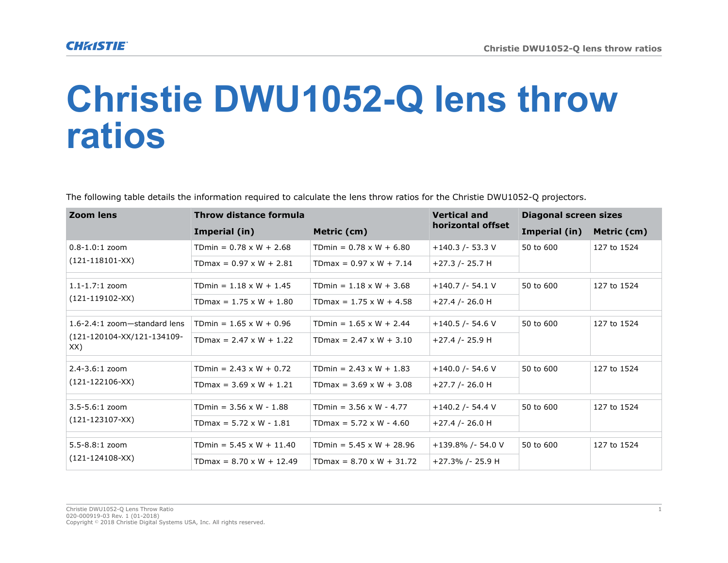## **Christie DWU1052-Q lens throw ratios**

The following table details the information required to calculate the lens throw ratios for the Christie DWU1052-Q projectors.

| Zoom lens                                                         | Throw distance formula          |                                 | <b>Vertical and</b>  | Diagonal screen sizes |             |
|-------------------------------------------------------------------|---------------------------------|---------------------------------|----------------------|-----------------------|-------------|
|                                                                   | Imperial (in)                   | Metric (cm)                     | horizontal offset    | Imperial (in)         | Metric (cm) |
| $0.8 - 1.0:1$ zoom<br>$(121-118101-XX)$                           | TDmin = $0.78 \times W + 2.68$  | TDmin = $0.78 \times W + 6.80$  | $+140.3$ /- 53.3 V   | 50 to 600             | 127 to 1524 |
|                                                                   | TDmax = $0.97 \times W + 2.81$  | TDmax = $0.97 \times W + 7.14$  | $+27.3$ /- 25.7 H    |                       |             |
| $1.1 - 1.7:1$ zoom<br>$(121-119102-XX)$                           | TDmin = $1.18 \times W + 1.45$  | TDmin = $1.18 \times W + 3.68$  | $+140.7$ /- 54.1 V   | 50 to 600             | 127 to 1524 |
|                                                                   | TDmax = $1.75 \times W + 1.80$  | TDmax = $1.75 \times W + 4.58$  | $+27.4$ /- 26.0 H    |                       |             |
| 1.6-2.4:1 zoom-standard lens<br>(121-120104-XX/121-134109-<br>XX) | TDmin = $1.65 \times W + 0.96$  | TDmin = $1.65 \times W + 2.44$  | $+140.5$ /- 54.6 V   | 50 to 600             | 127 to 1524 |
|                                                                   | TDmax = $2.47 \times W + 1.22$  | $TDmax = 2.47 \times W + 3.10$  | $+27.4$ /- 25.9 H    |                       |             |
| $2.4 - 3.6:1$ zoom<br>$(121 - 122106 - XX)$                       | TDmin = $2.43 \times W + 0.72$  | TDmin = $2.43 \times W + 1.83$  | $+140.0$ /- 54.6 V   | 50 to 600             | 127 to 1524 |
|                                                                   | TDmax = $3.69 \times W + 1.21$  | TDmax = $3.69 \times W + 3.08$  | $+27.7$ /- 26.0 H    |                       |             |
| $3.5 - 5.6:1$ zoom<br>$(121 - 123107 - XX)$                       | TDmin = $3.56 \times W - 1.88$  | TDmin = $3.56 \times W - 4.77$  | $+140.2$ /- 54.4 V   | 50 to 600             | 127 to 1524 |
|                                                                   | TDmax = $5.72 \times W - 1.81$  | TDmax = $5.72 \times W - 4.60$  | $+27.4$ /- 26.0 H    |                       |             |
| $5.5 - 8.8:1$ zoom<br>$(121 - 124108 - XX)$                       | TDmin = $5.45 \times W + 11.40$ | TDmin = $5.45 \times W + 28.96$ | $+139.8\%$ /- 54.0 V | 50 to 600             | 127 to 1524 |
|                                                                   | $TDmax = 8.70 \times W + 12.49$ | TDmax = $8.70 \times W + 31.72$ | +27.3% /- 25.9 H     |                       |             |